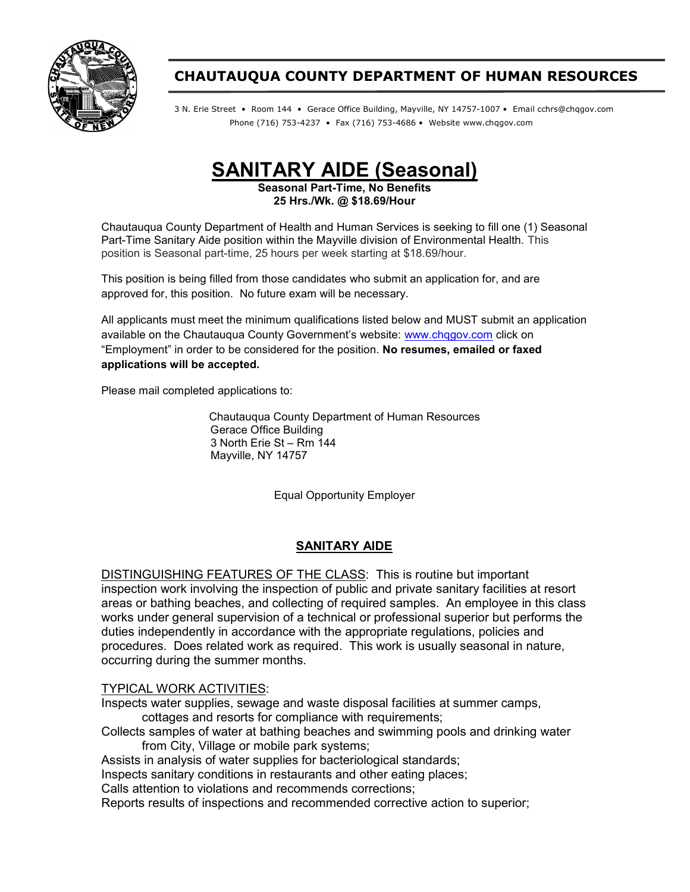

## CHAUTAUQUA COUNTY DEPARTMENT OF HUMAN RESOURCES

3 N. Erie Street • Room 144 • Gerace Office Building, Mayville, NY 14757-1007 • Email cchrs@chqgov.com Phone (716) 753-4237 • Fax (716) 753-4686 • Website www.chqgov.com

SANITARY AIDE (Seasonal)

Seasonal Part-Time, No Benefits 25 Hrs./Wk. @ \$18.69/Hour

Chautauqua County Department of Health and Human Services is seeking to fill one (1) Seasonal Part-Time Sanitary Aide position within the Mayville division of Environmental Health. This position is Seasonal part-time, 25 hours per week starting at \$18.69/hour.

This position is being filled from those candidates who submit an application for, and are approved for, this position. No future exam will be necessary.

All applicants must meet the minimum qualifications listed below and MUST submit an application available on the Chautauqua County Government's website: www.chqgov.com click on "Employment" in order to be considered for the position. No resumes, emailed or faxed applications will be accepted.

Please mail completed applications to:

Chautauqua County Department of Human Resources Gerace Office Building 3 North Erie St – Rm 144 Mayville, NY 14757

Equal Opportunity Employer

## SANITARY AIDE

DISTINGUISHING FEATURES OF THE CLASS: This is routine but important inspection work involving the inspection of public and private sanitary facilities at resort areas or bathing beaches, and collecting of required samples. An employee in this class works under general supervision of a technical or professional superior but performs the duties independently in accordance with the appropriate regulations, policies and procedures. Does related work as required. This work is usually seasonal in nature, occurring during the summer months.

## TYPICAL WORK ACTIVITIES:

Inspects water supplies, sewage and waste disposal facilities at summer camps, cottages and resorts for compliance with requirements;

Collects samples of water at bathing beaches and swimming pools and drinking water from City, Village or mobile park systems;

Assists in analysis of water supplies for bacteriological standards;

Inspects sanitary conditions in restaurants and other eating places;

Calls attention to violations and recommends corrections;

Reports results of inspections and recommended corrective action to superior;